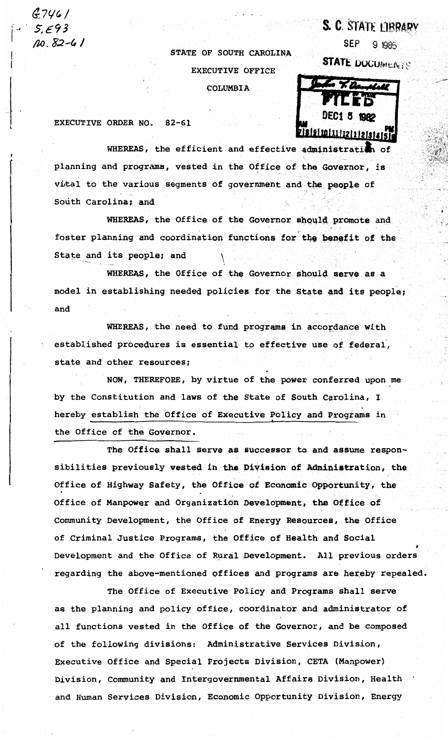$G746/$ 10.82-41

STATE OF SOUTH CAROLINA **EXECUTIVE OFFICE** COLUMBIA

SEP. 9 1985

S. C. STATE LIBRARY

**STATE DOCUMENTS** 



EXECUTIVE ORDER NO.  $82 - 61$ 

WHEREAS, the efficient and effective administration h of planning and programs, vested in the Office of the Governor, is vital to the various segments of government and the people of South Carolina; and

WHEREAS, the Office of the Governor should promote and foster planning and coordination functions for the benefit of the State and its people; and

WHEREAS, the Office of the Governor should serve as a model in establishing needed policies for the State and its people; and

WHEREAS, the need to fund programs in accordance with established procedures is essential to effective use of federal, state and other resources;

NOW, THEREFORE, by virtue of the power conferred upon me by the Constitution and laws of the State of South Carolina, I hereby establish the Office of Executive Policy and Programs in the Office of the Governor.

The Office shall serve as successor to and assume responsibilities previously vested in the Division of Administration, the Office of Highway Safety, the Office of Economic Opportunity, the Office of Manpower and Organization Development, the Office of Community Development, the Office of Energy Resources, the Office of Criminal Justice Programs, the Office of Health and Social Development and the Office of Rural Development. All previous orders regarding the above-mentioned offices and programs are hereby repealed.

The Office of Executive Policy and Programs shall serve as the planning and policy office, coordinator and administrator of all functions vested in the Office of the Governor, and be composed of the following divisions: Administrative Services Division, Executive Office and Special Projects Division, CETA (Manpower) Division, Community and Intergovernmental Affairs Division, Health and Human Services Division, Economic Opportunity Division, Energy